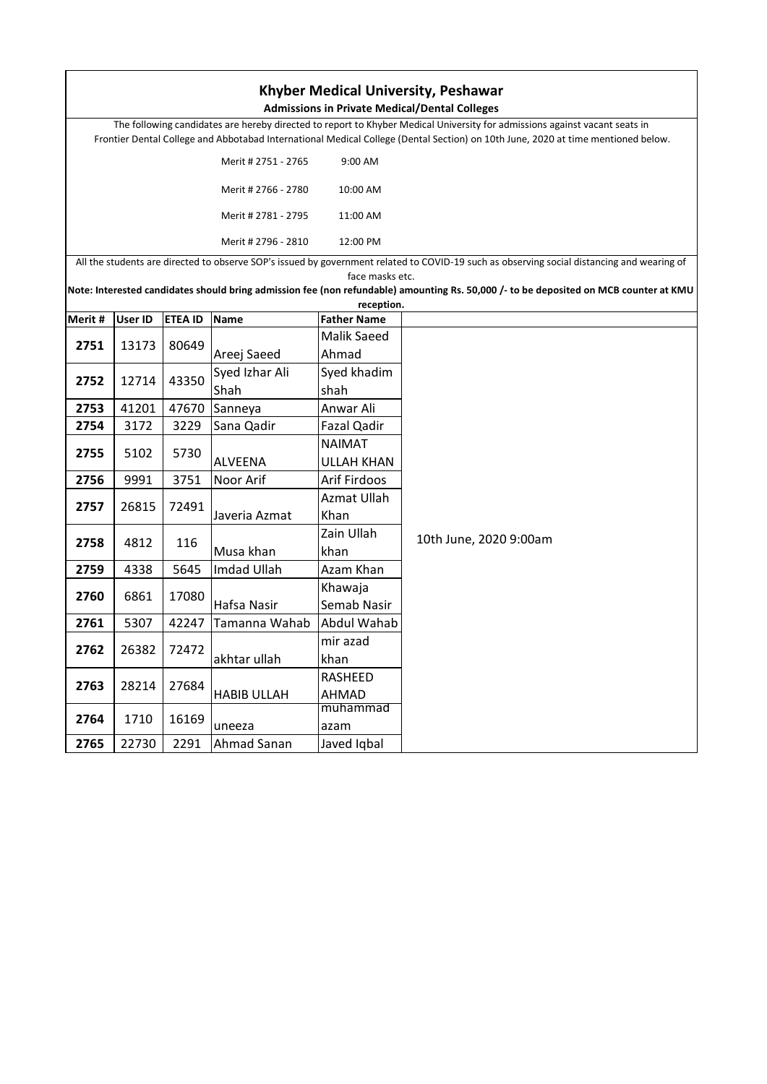| <b>Khyber Medical University, Peshawar</b><br><b>Admissions in Private Medical/Dental Colleges</b> |                |                |                     |                    |                                                                                                                                            |  |
|----------------------------------------------------------------------------------------------------|----------------|----------------|---------------------|--------------------|--------------------------------------------------------------------------------------------------------------------------------------------|--|
|                                                                                                    |                |                |                     |                    | The following candidates are hereby directed to report to Khyber Medical University for admissions against vacant seats in                 |  |
|                                                                                                    |                |                |                     |                    | Frontier Dental College and Abbotabad International Medical College (Dental Section) on 10th June, 2020 at time mentioned below.           |  |
|                                                                                                    |                |                |                     |                    |                                                                                                                                            |  |
|                                                                                                    |                |                | Merit # 2751 - 2765 | 9:00 AM            |                                                                                                                                            |  |
| Merit # 2766 - 2780                                                                                |                |                |                     | 10:00 AM           |                                                                                                                                            |  |
|                                                                                                    |                |                | Merit # 2781 - 2795 | 11:00 AM           |                                                                                                                                            |  |
|                                                                                                    |                |                | Merit # 2796 - 2810 | 12:00 PM           |                                                                                                                                            |  |
|                                                                                                    |                |                |                     |                    | All the students are directed to observe SOP's issued by government related to COVID-19 such as observing social distancing and wearing of |  |
|                                                                                                    |                |                |                     | face masks etc.    | Note: Interested candidates should bring admission fee (non refundable) amounting Rs. 50,000 /- to be deposited on MCB counter at KMU      |  |
|                                                                                                    |                |                |                     | reception.         |                                                                                                                                            |  |
| Merit #                                                                                            | <b>User ID</b> | <b>ETEA ID</b> | <b>Name</b>         | <b>Father Name</b> |                                                                                                                                            |  |
|                                                                                                    |                |                |                     | <b>Malik Saeed</b> |                                                                                                                                            |  |
| 2751                                                                                               | 13173          | 80649          | Areej Saeed         | Ahmad              |                                                                                                                                            |  |
|                                                                                                    |                |                | Syed Izhar Ali      | Syed khadim        |                                                                                                                                            |  |
| 2752                                                                                               | 12714          | 43350          | Shah                | shah               |                                                                                                                                            |  |
| 2753                                                                                               | 41201          | 47670          | Sanneya             | Anwar Ali          |                                                                                                                                            |  |
| 2754                                                                                               | 3172           | 3229           | Sana Qadir          | Fazal Qadir        |                                                                                                                                            |  |
|                                                                                                    |                |                |                     | <b>NAIMAT</b>      |                                                                                                                                            |  |
| 2755                                                                                               | 5102           | 5730           | <b>ALVEENA</b>      | <b>ULLAH KHAN</b>  |                                                                                                                                            |  |
| 2756                                                                                               | 9991           | 3751           | Noor Arif           | Arif Firdoos       |                                                                                                                                            |  |
|                                                                                                    |                |                |                     | Azmat Ullah        |                                                                                                                                            |  |
| 2757                                                                                               | 26815          | 72491          | Javeria Azmat       | Khan               |                                                                                                                                            |  |
|                                                                                                    | 4812           | 116            |                     | Zain Ullah         | 10th June, 2020 9:00am                                                                                                                     |  |
| 2758                                                                                               |                |                | Musa khan           | khan               |                                                                                                                                            |  |
| 2759                                                                                               | 4338           | 5645           | Imdad Ullah         | Azam Khan          |                                                                                                                                            |  |
|                                                                                                    |                |                |                     | Khawaja            |                                                                                                                                            |  |
| 2760                                                                                               | 6861           | 17080          | Hafsa Nasir         | Semab Nasir        |                                                                                                                                            |  |
| 2761                                                                                               | 5307           | 42247          | Tamanna Wahab       | Abdul Wahab        |                                                                                                                                            |  |
|                                                                                                    |                |                |                     | mir azad           |                                                                                                                                            |  |
| 2762                                                                                               | 26382          | 72472          | akhtar ullah        | khan               |                                                                                                                                            |  |
|                                                                                                    | 28214          | 27684          | <b>HABIB ULLAH</b>  | RASHEED            |                                                                                                                                            |  |
| 2763                                                                                               |                |                |                     | AHMAD              |                                                                                                                                            |  |
| 2764                                                                                               | 1710           |                |                     | muhammad           |                                                                                                                                            |  |
|                                                                                                    |                | 16169          | uneeza              | azam               |                                                                                                                                            |  |
| 2765                                                                                               | 22730          | 2291           | Ahmad Sanan         | Javed Iqbal        |                                                                                                                                            |  |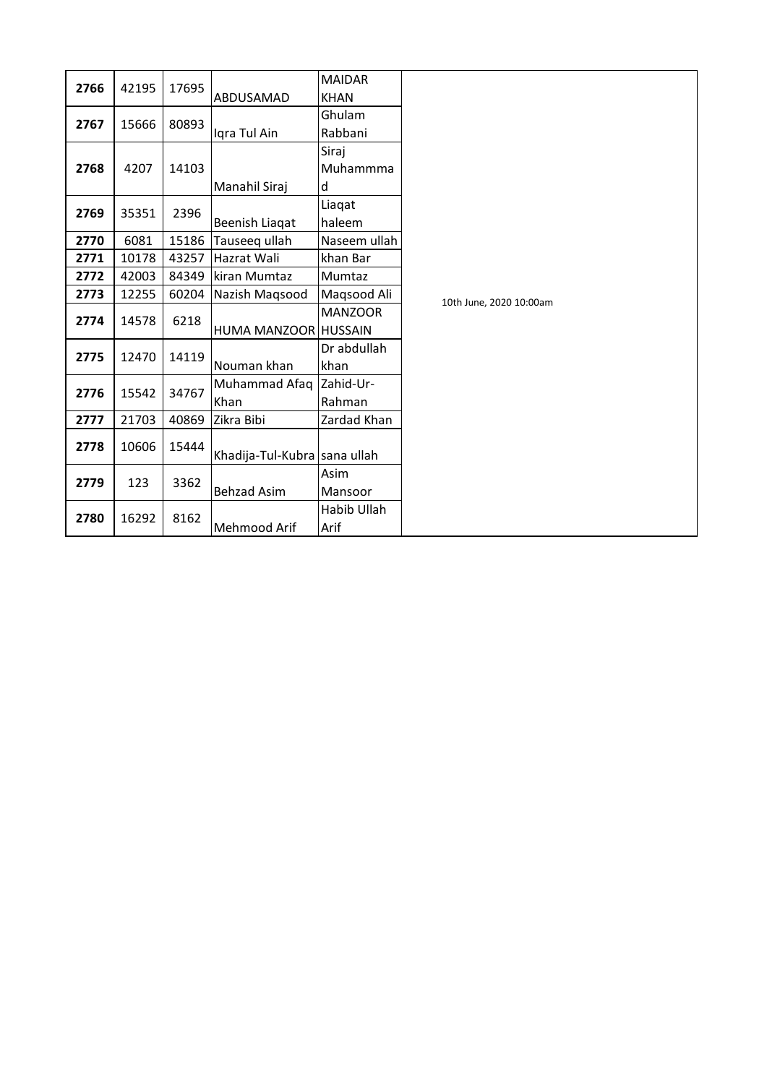|      |               |       |                              | <b>MAIDAR</b>  |                         |
|------|---------------|-------|------------------------------|----------------|-------------------------|
| 2766 | 42195         | 17695 | ABDUSAMAD                    | <b>KHAN</b>    |                         |
| 2767 | 15666         | 80893 |                              | Ghulam         |                         |
|      |               |       | Igra Tul Ain                 | Rabbani        |                         |
|      |               |       |                              | Siraj          |                         |
| 2768 | 4207          | 14103 |                              | Muhammma       |                         |
|      |               |       | Manahil Siraj                | d              |                         |
| 2769 | 35351         | 2396  |                              | Liaqat         |                         |
|      |               |       | Beenish Liaqat               | haleem         |                         |
| 2770 | 6081          | 15186 | Tauseeg ullah                | Naseem ullah   |                         |
| 2771 | 10178         | 43257 | Hazrat Wali                  | khan Bar       |                         |
| 2772 | 42003         | 84349 | kiran Mumtaz                 | Mumtaz         |                         |
| 2773 | 12255         | 60204 | Nazish Magsood               | Maqsood Ali    | 10th June, 2020 10:00am |
| 2774 | 14578         | 6218  |                              | <b>MANZOOR</b> |                         |
|      |               |       | HUMA MANZOOR HUSSAIN         |                |                         |
| 2775 | 12470         | 14119 |                              | Dr abdullah    |                         |
|      |               |       | Nouman khan                  | khan           |                         |
|      | 2776<br>15542 | 34767 | Muhammad Afaq                | Zahid-Ur-      |                         |
|      |               |       | Khan                         | Rahman         |                         |
| 2777 | 21703         | 40869 | Zikra Bibi                   | Zardad Khan    |                         |
| 2778 | 10606         | 15444 |                              |                |                         |
|      |               |       | Khadija-Tul-Kubra sana ullah |                |                         |
| 2779 | 123           | 3362  |                              | Asim           |                         |
|      |               |       | <b>Behzad Asim</b>           | Mansoor        |                         |
| 2780 | 16292         | 8162  |                              | Habib Ullah    |                         |
|      |               |       | Mehmood Arif                 | Arif           |                         |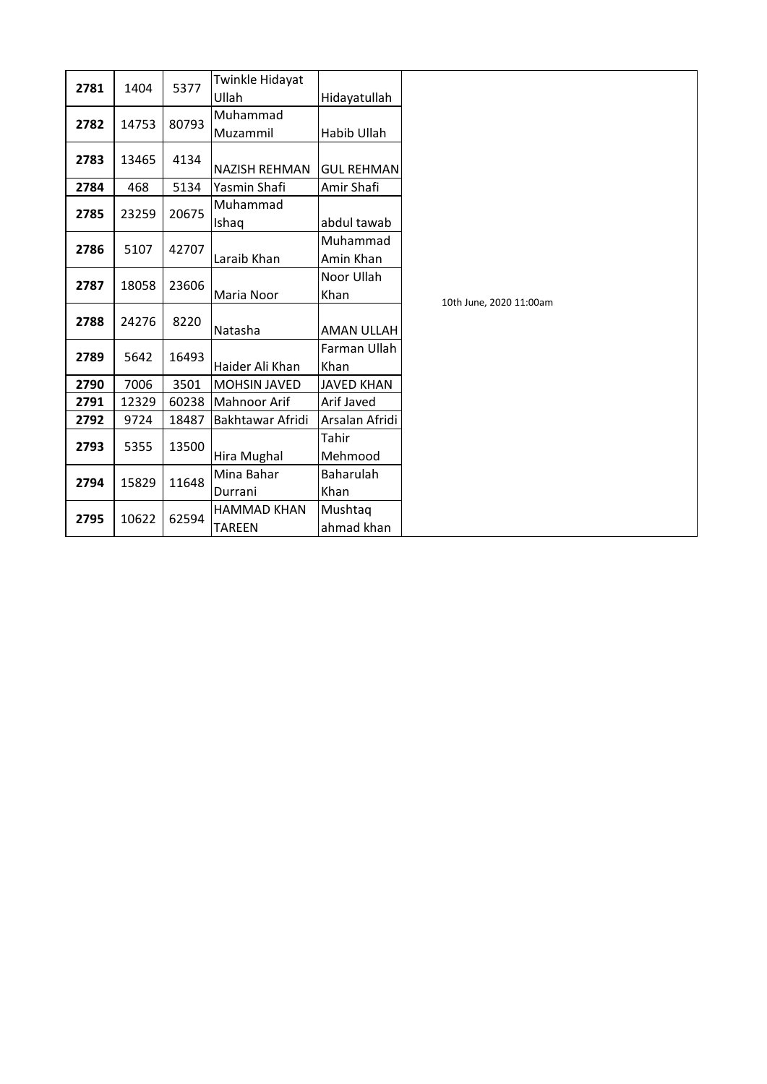|      |       |       | Twinkle Hidayat      |                   |                         |
|------|-------|-------|----------------------|-------------------|-------------------------|
| 2781 | 1404  | 5377  | Ullah                | Hidayatullah      |                         |
| 2782 | 14753 | 80793 | Muhammad             |                   |                         |
|      |       |       | Muzammil             | Habib Ullah       |                         |
| 2783 | 13465 | 4134  | <b>NAZISH REHMAN</b> | <b>GUL REHMAN</b> |                         |
| 2784 | 468   | 5134  | Yasmin Shafi         | Amir Shafi        |                         |
| 2785 | 23259 | 20675 | Muhammad             |                   |                         |
|      |       |       | Ishaq                | abdul tawab       |                         |
| 2786 | 5107  |       |                      | Muhammad          |                         |
|      |       | 42707 | Laraib Khan          | Amin Khan         |                         |
| 2787 | 18058 | 23606 |                      | Noor Ullah        |                         |
|      |       |       | Maria Noor           | Khan              | 10th June, 2020 11:00am |
| 2788 | 24276 | 8220  |                      |                   |                         |
|      |       |       | Natasha              | AMAN ULLAH        |                         |
| 2789 | 5642  | 16493 |                      | Farman Ullah      |                         |
|      |       |       | Haider Ali Khan      | Khan              |                         |
| 2790 | 7006  | 3501  | <b>MOHSIN JAVED</b>  | <b>JAVED KHAN</b> |                         |
| 2791 | 12329 | 60238 | <b>Mahnoor Arif</b>  | Arif Javed        |                         |
| 2792 | 9724  | 18487 | Bakhtawar Afridi     | Arsalan Afridi    |                         |
| 2793 | 5355  | 13500 |                      | Tahir             |                         |
|      |       |       | Hira Mughal          | Mehmood           |                         |
| 2794 | 15829 | 11648 | Mina Bahar           | Baharulah         |                         |
|      |       |       | Durrani              | Khan              |                         |
| 2795 | 10622 | 62594 | <b>HAMMAD KHAN</b>   | Mushtaq           |                         |
|      |       |       | <b>TAREEN</b>        | ahmad khan        |                         |